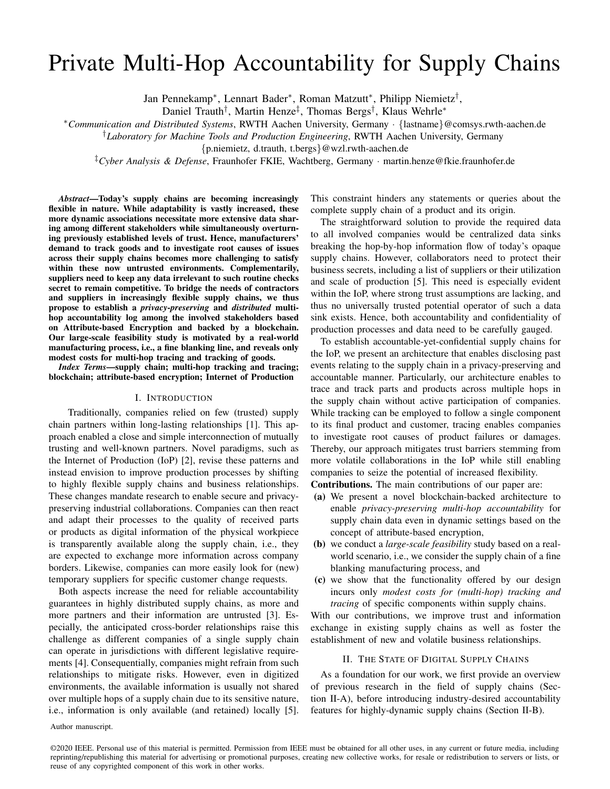# Private Multi-Hop Accountability for Supply Chains

Jan Pennekamp<sup>∗</sup> , Lennart Bader<sup>∗</sup> , Roman Matzutt<sup>∗</sup> , Philipp Niemietz† ,

Daniel Trauth<sup>†</sup>, Martin Henze<sup>‡</sup>, Thomas Bergs<sup>†</sup>, Klaus Wehrle<sup>\*</sup>

<sup>∗</sup>*Communication and Distributed Systems*, RWTH Aachen University, Germany · {lastname}@comsys.rwth-aachen.de

†*Laboratory for Machine Tools and Production Engineering*, RWTH Aachen University, Germany

{p.niemietz, d.trauth, t.bergs}@wzl.rwth-aachen.de

‡*Cyber Analysis & Defense*, Fraunhofer FKIE, Wachtberg, Germany · martin.henze@fkie.fraunhofer.de

*Abstract*—Today's supply chains are becoming increasingly flexible in nature. While adaptability is vastly increased, these more dynamic associations necessitate more extensive data sharing among different stakeholders while simultaneously overturning previously established levels of trust. Hence, manufacturers' demand to track goods and to investigate root causes of issues across their supply chains becomes more challenging to satisfy within these now untrusted environments. Complementarily, suppliers need to keep any data irrelevant to such routine checks secret to remain competitive. To bridge the needs of contractors and suppliers in increasingly flexible supply chains, we thus propose to establish a *privacy-preserving* and *distributed* multihop accountability log among the involved stakeholders based on Attribute-based Encryption and backed by a blockchain. Our large-scale feasibility study is motivated by a real-world manufacturing process, i.e., a fine blanking line, and reveals only modest costs for multi-hop tracing and tracking of goods.

*Index Terms*—supply chain; multi-hop tracking and tracing; blockchain; attribute-based encryption; Internet of Production

## I. INTRODUCTION

Traditionally, companies relied on few (trusted) supply chain partners within long-lasting relationships [\[1\]](#page-6-0). This approach enabled a close and simple interconnection of mutually trusting and well-known partners. Novel paradigms, such as the Internet of Production (IoP) [\[2\]](#page-6-1), revise these patterns and instead envision to improve production processes by shifting to highly flexible supply chains and business relationships. These changes mandate research to enable secure and privacypreserving industrial collaborations. Companies can then react and adapt their processes to the quality of received parts or products as digital information of the physical workpiece is transparently available along the supply chain, i.e., they are expected to exchange more information across company borders. Likewise, companies can more easily look for (new) temporary suppliers for specific customer change requests.

Both aspects increase the need for reliable accountability guarantees in highly distributed supply chains, as more and more partners and their information are untrusted [\[3\]](#page-6-2). Especially, the anticipated cross-border relationships raise this challenge as different companies of a single supply chain can operate in jurisdictions with different legislative requirements [\[4\]](#page-6-3). Consequentially, companies might refrain from such relationships to mitigate risks. However, even in digitized environments, the available information is usually not shared over multiple hops of a supply chain due to its sensitive nature, i.e., information is only available (and retained) locally [\[5\]](#page-6-4). This constraint hinders any statements or queries about the complete supply chain of a product and its origin.

The straightforward solution to provide the required data to all involved companies would be centralized data sinks breaking the hop-by-hop information flow of today's opaque supply chains. However, collaborators need to protect their business secrets, including a list of suppliers or their utilization and scale of production [\[5\]](#page-6-4). This need is especially evident within the IoP, where strong trust assumptions are lacking, and thus no universally trusted potential operator of such a data sink exists. Hence, both accountability and confidentiality of production processes and data need to be carefully gauged.

To establish accountable-yet-confidential supply chains for the IoP, we present an architecture that enables disclosing past events relating to the supply chain in a privacy-preserving and accountable manner. Particularly, our architecture enables to trace and track parts and products across multiple hops in the supply chain without active participation of companies. While tracking can be employed to follow a single component to its final product and customer, tracing enables companies to investigate root causes of product failures or damages. Thereby, our approach mitigates trust barriers stemming from more volatile collaborations in the IoP while still enabling companies to seize the potential of increased flexibility.

Contributions. The main contributions of our paper are:

- (a) We present a novel blockchain-backed architecture to enable *privacy-preserving multi-hop accountability* for supply chain data even in dynamic settings based on the concept of attribute-based encryption,
- (b) we conduct a *large-scale feasibility* study based on a realworld scenario, i.e., we consider the supply chain of a fine blanking manufacturing process, and
- (c) we show that the functionality offered by our design incurs only *modest costs for (multi-hop) tracking and tracing* of specific components within supply chains.

With our contributions, we improve trust and information exchange in existing supply chains as well as foster the establishment of new and volatile business relationships.

## II. THE STATE OF DIGITAL SUPPLY CHAINS

As a foundation for our work, we first provide an overview of previous research in the field of supply chains (Section [II-A\)](#page-1-0), before introducing industry-desired accountability features for highly-dynamic supply chains (Section [II-B\)](#page-1-1).

Author manuscript.

©2020 IEEE. Personal use of this material is permitted. Permission from IEEE must be obtained for all other uses, in any current or future media, including reprinting/republishing this material for advertising or promotional purposes, creating new collective works, for resale or redistribution to servers or lists, or reuse of any copyrighted component of this work in other works.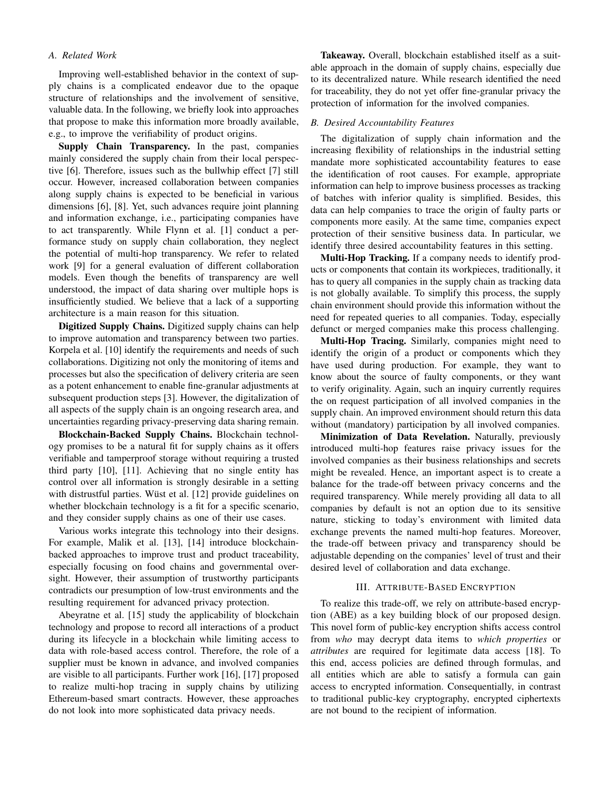## <span id="page-1-0"></span>*A. Related Work*

Improving well-established behavior in the context of supply chains is a complicated endeavor due to the opaque structure of relationships and the involvement of sensitive, valuable data. In the following, we briefly look into approaches that propose to make this information more broadly available, e.g., to improve the verifiability of product origins.

Supply Chain Transparency. In the past, companies mainly considered the supply chain from their local perspective [\[6\]](#page-6-5). Therefore, issues such as the bullwhip effect [\[7\]](#page-6-6) still occur. However, increased collaboration between companies along supply chains is expected to be beneficial in various dimensions [\[6\]](#page-6-5), [\[8\]](#page-6-7). Yet, such advances require joint planning and information exchange, i.e., participating companies have to act transparently. While Flynn et al. [\[1\]](#page-6-0) conduct a performance study on supply chain collaboration, they neglect the potential of multi-hop transparency. We refer to related work [\[9\]](#page-6-8) for a general evaluation of different collaboration models. Even though the benefits of transparency are well understood, the impact of data sharing over multiple hops is insufficiently studied. We believe that a lack of a supporting architecture is a main reason for this situation.

Digitized Supply Chains. Digitized supply chains can help to improve automation and transparency between two parties. Korpela et al. [\[10\]](#page-6-9) identify the requirements and needs of such collaborations. Digitizing not only the monitoring of items and processes but also the specification of delivery criteria are seen as a potent enhancement to enable fine-granular adjustments at subsequent production steps [\[3\]](#page-6-2). However, the digitalization of all aspects of the supply chain is an ongoing research area, and uncertainties regarding privacy-preserving data sharing remain.

Blockchain-Backed Supply Chains. Blockchain technology promises to be a natural fit for supply chains as it offers verifiable and tamperproof storage without requiring a trusted third party [\[10\]](#page-6-9), [\[11\]](#page-6-10). Achieving that no single entity has control over all information is strongly desirable in a setting with distrustful parties. Wüst et al.  $[12]$  provide guidelines on whether blockchain technology is a fit for a specific scenario, and they consider supply chains as one of their use cases.

Various works integrate this technology into their designs. For example, Malik et al. [\[13\]](#page-6-12), [\[14\]](#page-6-13) introduce blockchainbacked approaches to improve trust and product traceability, especially focusing on food chains and governmental oversight. However, their assumption of trustworthy participants contradicts our presumption of low-trust environments and the resulting requirement for advanced privacy protection.

Abeyratne et al. [\[15\]](#page-6-14) study the applicability of blockchain technology and propose to record all interactions of a product during its lifecycle in a blockchain while limiting access to data with role-based access control. Therefore, the role of a supplier must be known in advance, and involved companies are visible to all participants. Further work [\[16\]](#page-6-15), [\[17\]](#page-6-16) proposed to realize multi-hop tracing in supply chains by utilizing Ethereum-based smart contracts. However, these approaches do not look into more sophisticated data privacy needs.

Takeaway. Overall, blockchain established itself as a suitable approach in the domain of supply chains, especially due to its decentralized nature. While research identified the need for traceability, they do not yet offer fine-granular privacy the protection of information for the involved companies.

### <span id="page-1-1"></span>*B. Desired Accountability Features*

The digitalization of supply chain information and the increasing flexibility of relationships in the industrial setting mandate more sophisticated accountability features to ease the identification of root causes. For example, appropriate information can help to improve business processes as tracking of batches with inferior quality is simplified. Besides, this data can help companies to trace the origin of faulty parts or components more easily. At the same time, companies expect protection of their sensitive business data. In particular, we identify three desired accountability features in this setting.

Multi-Hop Tracking. If a company needs to identify products or components that contain its workpieces, traditionally, it has to query all companies in the supply chain as tracking data is not globally available. To simplify this process, the supply chain environment should provide this information without the need for repeated queries to all companies. Today, especially defunct or merged companies make this process challenging.

Multi-Hop Tracing. Similarly, companies might need to identify the origin of a product or components which they have used during production. For example, they want to know about the source of faulty components, or they want to verify originality. Again, such an inquiry currently requires the on request participation of all involved companies in the supply chain. An improved environment should return this data without (mandatory) participation by all involved companies.

Minimization of Data Revelation. Naturally, previously introduced multi-hop features raise privacy issues for the involved companies as their business relationships and secrets might be revealed. Hence, an important aspect is to create a balance for the trade-off between privacy concerns and the required transparency. While merely providing all data to all companies by default is not an option due to its sensitive nature, sticking to today's environment with limited data exchange prevents the named multi-hop features. Moreover, the trade-off between privacy and transparency should be adjustable depending on the companies' level of trust and their desired level of collaboration and data exchange.

## III. ATTRIBUTE-BASED ENCRYPTION

<span id="page-1-2"></span>To realize this trade-off, we rely on attribute-based encryption (ABE) as a key building block of our proposed design. This novel form of public-key encryption shifts access control from *who* may decrypt data items to *which properties* or *attributes* are required for legitimate data access [\[18\]](#page-6-17). To this end, access policies are defined through formulas, and all entities which are able to satisfy a formula can gain access to encrypted information. Consequentially, in contrast to traditional public-key cryptography, encrypted ciphertexts are not bound to the recipient of information.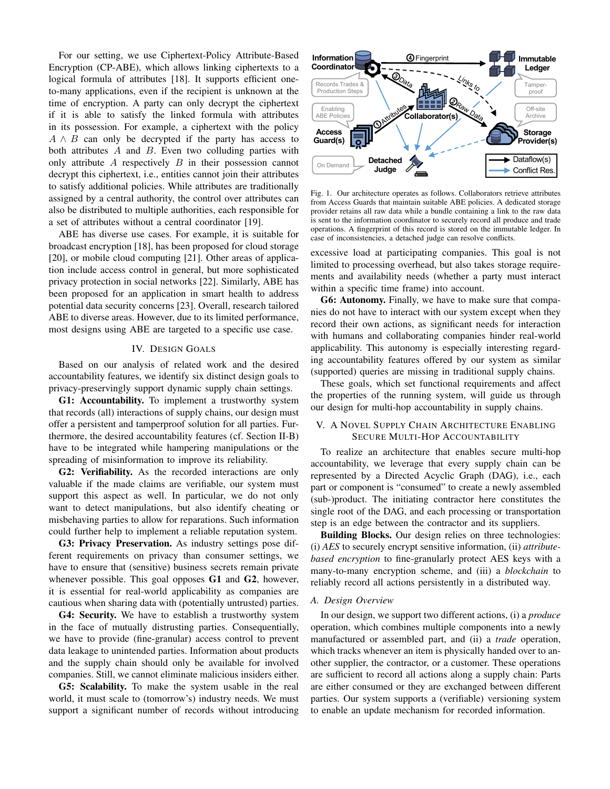For our setting, we use Ciphertext-Policy Attribute-Based Encryption (CP-ABE), which allows linking ciphertexts to a logical formula of attributes [\[18\]](#page-6-17). It supports efficient oneto-many applications, even if the recipient is unknown at the time of encryption. A party can only decrypt the ciphertext if it is able to satisfy the linked formula with attributes in its possession. For example, a ciphertext with the policy  $A \wedge B$  can only be decrypted if the party has access to both attributes  $A$  and  $B$ . Even two colluding parties with only attribute  $A$  respectively  $B$  in their possession cannot decrypt this ciphertext, i.e., entities cannot join their attributes to satisfy additional policies. While attributes are traditionally assigned by a central authority, the control over attributes can also be distributed to multiple authorities, each responsible for a set of attributes without a central coordinator [\[19\]](#page-6-18).

ABE has diverse use cases. For example, it is suitable for broadcast encryption [\[18\]](#page-6-17), has been proposed for cloud storage [\[20\]](#page-6-19), or mobile cloud computing [\[21\]](#page-6-20). Other areas of application include access control in general, but more sophisticated privacy protection in social networks [\[22\]](#page-6-21). Similarly, ABE has been proposed for an application in smart health to address potential data security concerns [\[23\]](#page-6-22). Overall, research tailored ABE to diverse areas. However, due to its limited performance, most designs using ABE are targeted to a specific use case.

## <span id="page-2-0"></span>IV. DESIGN GOALS

Based on our analysis of related work and the desired accountability features, we identify six distinct design goals to privacy-preservingly support dynamic supply chain settings.

G1: Accountability. To implement a trustworthy system that records (all) interactions of supply chains, our design must offer a persistent and tamperproof solution for all parties. Furthermore, the desired accountability features (cf. Section [II-B\)](#page-1-1) have to be integrated while hampering manipulations or the spreading of misinformation to improve its reliability.

<span id="page-2-1"></span>G2: Verifiability. As the recorded interactions are only valuable if the made claims are verifiable, our system must support this aspect as well. In particular, we do not only want to detect manipulations, but also identify cheating or misbehaving parties to allow for reparations. Such information could further help to implement a reliable reputation system.

<span id="page-2-5"></span>G3: Privacy Preservation. As industry settings pose different requirements on privacy than consumer settings, we have to ensure that (sensitive) business secrets remain private whenever possible. This goal opposes [G1](#page-2-0) and [G2](#page-2-1), however, it is essential for real-world applicability as companies are cautious when sharing data with (potentially untrusted) parties.

<span id="page-2-4"></span>G4: Security. We have to establish a trustworthy system in the face of mutually distrusting parties. Consequentially, we have to provide (fine-granular) access control to prevent data leakage to unintended parties. Information about products and the supply chain should only be available for involved companies. Still, we cannot eliminate malicious insiders either.

<span id="page-2-3"></span>G5: Scalability. To make the system usable in the real world, it must scale to (tomorrow's) industry needs. We must support a significant number of records without introducing



<span id="page-2-2"></span>Fig. 1. Our architecture operates as follows. Collaborators retrieve attributes from Access Guards that maintain suitable ABE policies. A dedicated storage provider retains all raw data while a bundle containing a link to the raw data is sent to the information coordinator to securely record all produce and trade operations. A fingerprint of this record is stored on the immutable ledger. In case of inconsistencies, a detached judge can resolve conflicts.

excessive load at participating companies. This goal is not limited to processing overhead, but also takes storage requirements and availability needs (whether a party must interact within a specific time frame) into account.

<span id="page-2-6"></span>G6: Autonomy. Finally, we have to make sure that companies do not have to interact with our system except when they record their own actions, as significant needs for interaction with humans and collaborating companies hinder real-world applicability. This autonomy is especially interesting regarding accountability features offered by our system as similar (supported) queries are missing in traditional supply chains.

These goals, which set functional requirements and affect the properties of the running system, will guide us through our design for multi-hop accountability in supply chains.

## V. A NOVEL SUPPLY CHAIN ARCHITECTURE ENABLING SECURE MULTI-HOP ACCOUNTABILITY

To realize an architecture that enables secure multi-hop accountability, we leverage that every supply chain can be represented by a Directed Acyclic Graph (DAG), i.e., each part or component is "consumed" to create a newly assembled (sub-)product. The initiating contractor here constitutes the single root of the DAG, and each processing or transportation step is an edge between the contractor and its suppliers.

Building Blocks. Our design relies on three technologies: (i) *AES* to securely encrypt sensitive information, (ii) *attributebased encryption* to fine-granularly protect AES keys with a many-to-many encryption scheme, and (iii) a *blockchain* to reliably record all actions persistently in a distributed way.

#### *A. Design Overview*

In our design, we support two different actions, (i) a *produce* operation, which combines multiple components into a newly manufactured or assembled part, and (ii) a *trade* operation, which tracks whenever an item is physically handed over to another supplier, the contractor, or a customer. These operations are sufficient to record all actions along a supply chain: Parts are either consumed or they are exchanged between different parties. Our system supports a (verifiable) versioning system to enable an update mechanism for recorded information.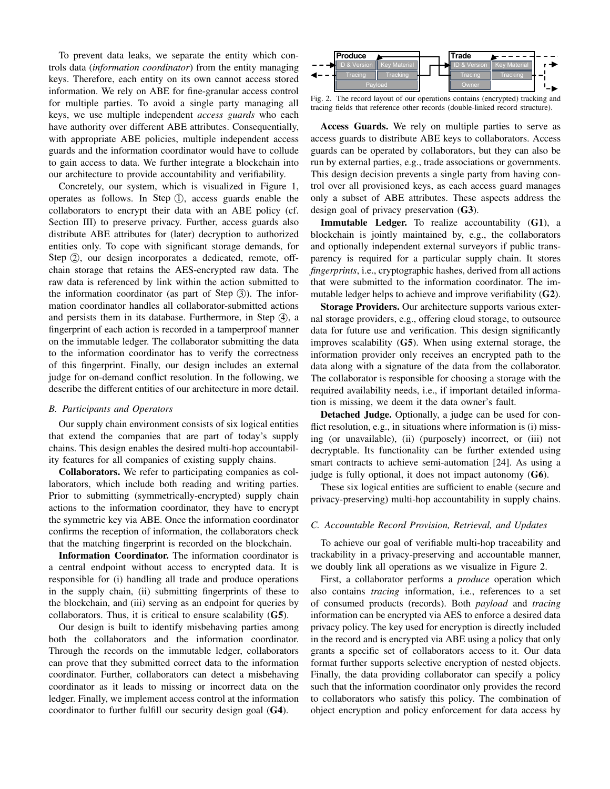To prevent data leaks, we separate the entity which controls data (*information coordinator*) from the entity managing keys. Therefore, each entity on its own cannot access stored information. We rely on ABE for fine-granular access control for multiple parties. To avoid a single party managing all keys, we use multiple independent *access guards* who each have authority over different ABE attributes. Consequentially, with appropriate ABE policies, multiple independent access guards and the information coordinator would have to collude to gain access to data. We further integrate a blockchain into our architecture to provide accountability and verifiability.

Concretely, our system, which is visualized in Figure [1,](#page-2-2) operates as follows. In Step  $(1)$ , access guards enable the collaborators to encrypt their data with an ABE policy (cf. Section [III\)](#page-1-2) to preserve privacy. Further, access guards also distribute ABE attributes for (later) decryption to authorized entities only. To cope with significant storage demands, for Step ②, our design incorporates a dedicated, remote, offchain storage that retains the AES-encrypted raw data. The raw data is referenced by link within the action submitted to the information coordinator (as part of Step  $(3)$ ). The information coordinator handles all collaborator-submitted actions and persists them in its database. Furthermore, in Step  $(4)$ , a fingerprint of each action is recorded in a tamperproof manner on the immutable ledger. The collaborator submitting the data to the information coordinator has to verify the correctness of this fingerprint. Finally, our design includes an external judge for on-demand conflict resolution. In the following, we describe the different entities of our architecture in more detail.

### *B. Participants and Operators*

Our supply chain environment consists of six logical entities that extend the companies that are part of today's supply chains. This design enables the desired multi-hop accountability features for all companies of existing supply chains.

Collaborators. We refer to participating companies as collaborators, which include both reading and writing parties. Prior to submitting (symmetrically-encrypted) supply chain actions to the information coordinator, they have to encrypt the symmetric key via ABE. Once the information coordinator confirms the reception of information, the collaborators check that the matching fingerprint is recorded on the blockchain.

Information Coordinator. The information coordinator is a central endpoint without access to encrypted data. It is responsible for (i) handling all trade and produce operations in the supply chain, (ii) submitting fingerprints of these to the blockchain, and (iii) serving as an endpoint for queries by collaborators. Thus, it is critical to ensure scalability  $(G5)$  $(G5)$  $(G5)$ .

Our design is built to identify misbehaving parties among both the collaborators and the information coordinator. Through the records on the immutable ledger, collaborators can prove that they submitted correct data to the information coordinator. Further, collaborators can detect a misbehaving coordinator as it leads to missing or incorrect data on the ledger. Finally, we implement access control at the information coordinator to further fulfill our security design goal ([G4](#page-2-4)).



<span id="page-3-0"></span>Fig. 2. The record layout of our operations contains (encrypted) tracking and tracing fields that reference other records (double-linked record structure).

Access Guards. We rely on multiple parties to serve as access guards to distribute ABE keys to collaborators. Access guards can be operated by collaborators, but they can also be run by external parties, e.g., trade associations or governments. This design decision prevents a single party from having control over all provisioned keys, as each access guard manages only a subset of ABE attributes. These aspects address the design goal of privacy preservation ([G3](#page-2-5)).

Immutable Ledger. To realize accountability ([G1](#page-2-0)), a blockchain is jointly maintained by, e.g., the collaborators and optionally independent external surveyors if public transparency is required for a particular supply chain. It stores *fingerprints*, i.e., cryptographic hashes, derived from all actions that were submitted to the information coordinator. The immutable ledger helps to achieve and improve verifiability ([G2](#page-2-1)).

Storage Providers. Our architecture supports various external storage providers, e.g., offering cloud storage, to outsource data for future use and verification. This design significantly improves scalability ([G5](#page-2-3)). When using external storage, the information provider only receives an encrypted path to the data along with a signature of the data from the collaborator. The collaborator is responsible for choosing a storage with the required availability needs, i.e., if important detailed information is missing, we deem it the data owner's fault.

Detached Judge. Optionally, a judge can be used for conflict resolution, e.g., in situations where information is (i) missing (or unavailable), (ii) (purposely) incorrect, or (iii) not decryptable. Its functionality can be further extended using smart contracts to achieve semi-automation [\[24\]](#page-6-23). As using a judge is fully optional, it does not impact autonomy ([G6](#page-2-6)).

These six logical entities are sufficient to enable (secure and privacy-preserving) multi-hop accountability in supply chains.

## <span id="page-3-1"></span>*C. Accountable Record Provision, Retrieval, and Updates*

To achieve our goal of verifiable multi-hop traceability and trackability in a privacy-preserving and accountable manner, we doubly link all operations as we visualize in Figure [2.](#page-3-0)

First, a collaborator performs a *produce* operation which also contains *tracing* information, i.e., references to a set of consumed products (records). Both *payload* and *tracing* information can be encrypted via AES to enforce a desired data privacy policy. The key used for encryption is directly included in the record and is encrypted via ABE using a policy that only grants a specific set of collaborators access to it. Our data format further supports selective encryption of nested objects. Finally, the data providing collaborator can specify a policy such that the information coordinator only provides the record to collaborators who satisfy this policy. The combination of object encryption and policy enforcement for data access by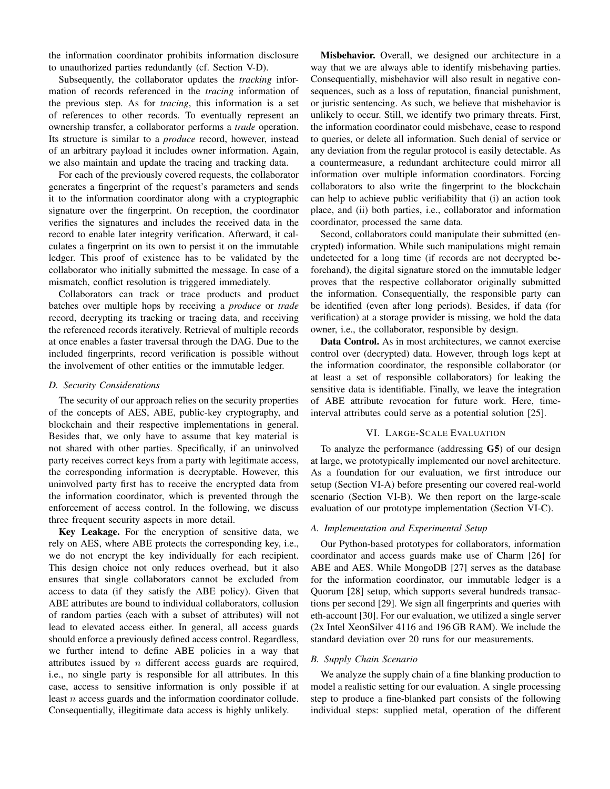the information coordinator prohibits information disclosure to unauthorized parties redundantly (cf. Section [V-D\)](#page-4-0).

Subsequently, the collaborator updates the *tracking* information of records referenced in the *tracing* information of the previous step. As for *tracing*, this information is a set of references to other records. To eventually represent an ownership transfer, a collaborator performs a *trade* operation. Its structure is similar to a *produce* record, however, instead of an arbitrary payload it includes owner information. Again, we also maintain and update the tracing and tracking data.

For each of the previously covered requests, the collaborator generates a fingerprint of the request's parameters and sends it to the information coordinator along with a cryptographic signature over the fingerprint. On reception, the coordinator verifies the signatures and includes the received data in the record to enable later integrity verification. Afterward, it calculates a fingerprint on its own to persist it on the immutable ledger. This proof of existence has to be validated by the collaborator who initially submitted the message. In case of a mismatch, conflict resolution is triggered immediately.

Collaborators can track or trace products and product batches over multiple hops by receiving a *produce* or *trade* record, decrypting its tracking or tracing data, and receiving the referenced records iteratively. Retrieval of multiple records at once enables a faster traversal through the DAG. Due to the included fingerprints, record verification is possible without the involvement of other entities or the immutable ledger.

#### <span id="page-4-0"></span>*D. Security Considerations*

The security of our approach relies on the security properties of the concepts of AES, ABE, public-key cryptography, and blockchain and their respective implementations in general. Besides that, we only have to assume that key material is not shared with other parties. Specifically, if an uninvolved party receives correct keys from a party with legitimate access, the corresponding information is decryptable. However, this uninvolved party first has to receive the encrypted data from the information coordinator, which is prevented through the enforcement of access control. In the following, we discuss three frequent security aspects in more detail.

Key Leakage. For the encryption of sensitive data, we rely on AES, where ABE protects the corresponding key, i.e., we do not encrypt the key individually for each recipient. This design choice not only reduces overhead, but it also ensures that single collaborators cannot be excluded from access to data (if they satisfy the ABE policy). Given that ABE attributes are bound to individual collaborators, collusion of random parties (each with a subset of attributes) will not lead to elevated access either. In general, all access guards should enforce a previously defined access control. Regardless, we further intend to define ABE policies in a way that attributes issued by  $n$  different access guards are required, i.e., no single party is responsible for all attributes. In this case, access to sensitive information is only possible if at least n access guards and the information coordinator collude. Consequentially, illegitimate data access is highly unlikely.

Misbehavior. Overall, we designed our architecture in a way that we are always able to identify misbehaving parties. Consequentially, misbehavior will also result in negative consequences, such as a loss of reputation, financial punishment, or juristic sentencing. As such, we believe that misbehavior is unlikely to occur. Still, we identify two primary threats. First, the information coordinator could misbehave, cease to respond to queries, or delete all information. Such denial of service or any deviation from the regular protocol is easily detectable. As a countermeasure, a redundant architecture could mirror all information over multiple information coordinators. Forcing collaborators to also write the fingerprint to the blockchain can help to achieve public verifiability that (i) an action took place, and (ii) both parties, i.e., collaborator and information coordinator, processed the same data.

Second, collaborators could manipulate their submitted (encrypted) information. While such manipulations might remain undetected for a long time (if records are not decrypted beforehand), the digital signature stored on the immutable ledger proves that the respective collaborator originally submitted the information. Consequentially, the responsible party can be identified (even after long periods). Besides, if data (for verification) at a storage provider is missing, we hold the data owner, i.e., the collaborator, responsible by design.

Data Control. As in most architectures, we cannot exercise control over (decrypted) data. However, through logs kept at the information coordinator, the responsible collaborator (or at least a set of responsible collaborators) for leaking the sensitive data is identifiable. Finally, we leave the integration of ABE attribute revocation for future work. Here, timeinterval attributes could serve as a potential solution [\[25\]](#page-6-24).

## VI. LARGE-SCALE EVALUATION

To analyze the performance (addressing [G5](#page-2-3)) of our design at large, we prototypically implemented our novel architecture. As a foundation for our evaluation, we first introduce our setup (Section [VI-A\)](#page-4-1) before presenting our covered real-world scenario (Section [VI-B\)](#page-4-2). We then report on the large-scale evaluation of our prototype implementation (Section [VI-C\)](#page-5-0).

#### <span id="page-4-1"></span>*A. Implementation and Experimental Setup*

Our Python-based prototypes for collaborators, information coordinator and access guards make use of Charm [\[26\]](#page-6-25) for ABE and AES. While MongoDB [\[27\]](#page-6-26) serves as the database for the information coordinator, our immutable ledger is a Quorum [\[28\]](#page-6-27) setup, which supports several hundreds transactions per second [\[29\]](#page-6-28). We sign all fingerprints and queries with eth-account [\[30\]](#page-6-29). For our evaluation, we utilized a single server (2x Intel XeonSilver 4116 and 196 GB RAM). We include the standard deviation over 20 runs for our measurements.

#### <span id="page-4-2"></span>*B. Supply Chain Scenario*

We analyze the supply chain of a fine blanking production to model a realistic setting for our evaluation. A single processing step to produce a fine-blanked part consists of the following individual steps: supplied metal, operation of the different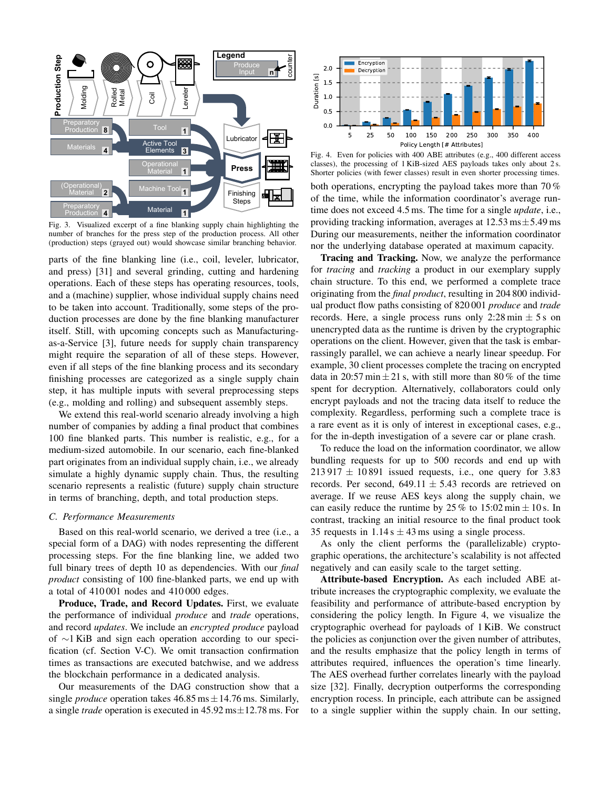

Fig. 3. Visualized excerpt of a fine blanking supply chain highlighting the number of branches for the press step of the production process. All other (production) steps (grayed out) would showcase similar branching behavior.

parts of the fine blanking line (i.e., coil, leveler, lubricator, and press) [\[31\]](#page-6-30) and several grinding, cutting and hardening operations. Each of these steps has operating resources, tools, and a (machine) supplier, whose individual supply chains need to be taken into account. Traditionally, some steps of the production processes are done by the fine blanking manufacturer itself. Still, with upcoming concepts such as Manufacturingas-a-Service [\[3\]](#page-6-2), future needs for supply chain transparency might require the separation of all of these steps. However, even if all steps of the fine blanking process and its secondary finishing processes are categorized as a single supply chain step, it has multiple inputs with several preprocessing steps (e.g., molding and rolling) and subsequent assembly steps.

We extend this real-world scenario already involving a high number of companies by adding a final product that combines 100 fine blanked parts. This number is realistic, e.g., for a medium-sized automobile. In our scenario, each fine-blanked part originates from an individual supply chain, i.e., we already simulate a highly dynamic supply chain. Thus, the resulting scenario represents a realistic (future) supply chain structure in terms of branching, depth, and total production steps.

### <span id="page-5-0"></span>*C. Performance Measurements*

Based on this real-world scenario, we derived a tree (i.e., a special form of a DAG) with nodes representing the different processing steps. For the fine blanking line, we added two full binary trees of depth 10 as dependencies. With our *final product* consisting of 100 fine-blanked parts, we end up with a total of 410 001 nodes and 410 000 edges.

Produce, Trade, and Record Updates. First, we evaluate the performance of individual *produce* and *trade* operations, and record *updates*. We include an *encrypted produce* payload of ∼1 KiB and sign each operation according to our specification (cf. Section [V-C\)](#page-3-1). We omit transaction confirmation times as transactions are executed batchwise, and we address the blockchain performance in a dedicated analysis.

Our measurements of the DAG construction show that a single *produce* operation takes  $46.85 \text{ ms} \pm 14.76 \text{ ms}$ . Similarly, a single *trade* operation is executed in 45.92 ms±12.78 ms. For



<span id="page-5-1"></span>Fig. 4. Even for policies with 400 ABE attributes (e.g., 400 different access classes), the processing of 1 KiB-sized AES payloads takes only about 2 s. Shorter policies (with fewer classes) result in even shorter processing times. both operations, encrypting the payload takes more than 70 % of the time, while the information coordinator's average runtime does not exceed 4.5 ms. The time for a single *update*, i.e., providing tracking information, averages at  $12.53 \text{ ms} \pm 5.49 \text{ ms}$ During our measurements, neither the information coordinator nor the underlying database operated at maximum capacity.

Tracing and Tracking. Now, we analyze the performance for *tracing* and *tracking* a product in our exemplary supply chain structure. To this end, we performed a complete trace originating from the *final product*, resulting in 204 800 individual product flow paths consisting of 820 001 *produce* and *trade* records. Here, a single process runs only 2:28 min  $\pm$  5 s on unencrypted data as the runtime is driven by the cryptographic operations on the client. However, given that the task is embarrassingly parallel, we can achieve a nearly linear speedup. For example, 30 client processes complete the tracing on encrypted data in 20:57 min  $\pm$  21 s, with still more than 80% of the time spent for decryption. Alternatively, collaborators could only encrypt payloads and not the tracing data itself to reduce the complexity. Regardless, performing such a complete trace is a rare event as it is only of interest in exceptional cases, e.g., for the in-depth investigation of a severe car or plane crash.

To reduce the load on the information coordinator, we allow bundling requests for up to 500 records and end up with  $213917 \pm 10891$  issued requests, i.e., one query for 3.83 records. Per second,  $649.11 \pm 5.43$  records are retrieved on average. If we reuse AES keys along the supply chain, we can easily reduce the runtime by  $25\%$  to  $15:02 \text{ min} \pm 10 \text{ s}$ . In contrast, tracking an initial resource to the final product took 35 requests in  $1.14$  s  $\pm$  43 ms using a single process.

As only the client performs the (parallelizable) cryptographic operations, the architecture's scalability is not affected negatively and can easily scale to the target setting.

Attribute-based Encryption. As each included ABE attribute increases the cryptographic complexity, we evaluate the feasibility and performance of attribute-based encryption by considering the policy length. In Figure [4,](#page-5-1) we visualize the cryptographic overhead for payloads of 1 KiB. We construct the policies as conjunction over the given number of attributes, and the results emphasize that the policy length in terms of attributes required, influences the operation's time linearly. The AES overhead further correlates linearly with the payload size [\[32\]](#page-6-31). Finally, decryption outperforms the corresponding encryption rocess. In principle, each attribute can be assigned to a single supplier within the supply chain. In our setting,